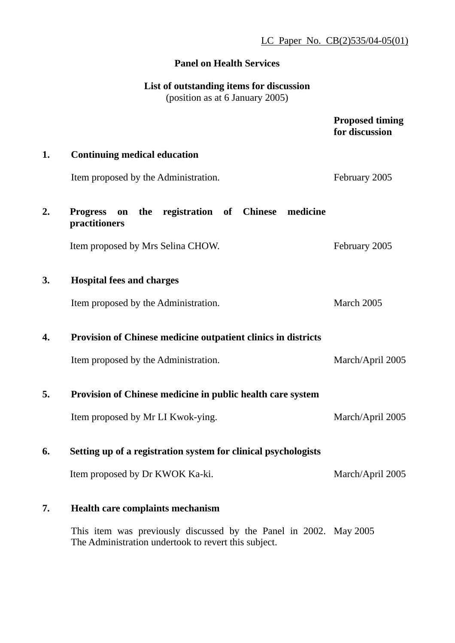LC Paper No. CB(2)535/04-05(01)

### **Panel on Health Services**

# **List of outstanding items for discussion**

(position as at 6 January 2005)

|    |                                                                                                                           | <b>Proposed timing</b><br>for discussion |
|----|---------------------------------------------------------------------------------------------------------------------------|------------------------------------------|
| 1. | <b>Continuing medical education</b>                                                                                       |                                          |
|    | Item proposed by the Administration.                                                                                      | February 2005                            |
| 2. | the registration of Chinese<br><b>Progress</b><br>medicine<br>on<br>practitioners                                         |                                          |
|    | Item proposed by Mrs Selina CHOW.                                                                                         | February 2005                            |
| 3. | <b>Hospital fees and charges</b>                                                                                          |                                          |
|    | Item proposed by the Administration.                                                                                      | March 2005                               |
| 4. | Provision of Chinese medicine outpatient clinics in districts                                                             |                                          |
|    | Item proposed by the Administration.                                                                                      | March/April 2005                         |
| 5. | Provision of Chinese medicine in public health care system                                                                |                                          |
|    | Item proposed by Mr LI Kwok-ying.                                                                                         | March/April 2005                         |
| 6. | Setting up of a registration system for clinical psychologists                                                            |                                          |
|    | Item proposed by Dr KWOK Ka-ki.                                                                                           | March/April 2005                         |
| 7. | <b>Health care complaints mechanism</b>                                                                                   |                                          |
|    | This item was previously discussed by the Panel in 2002. May 2005<br>The Administration undertook to revert this subject. |                                          |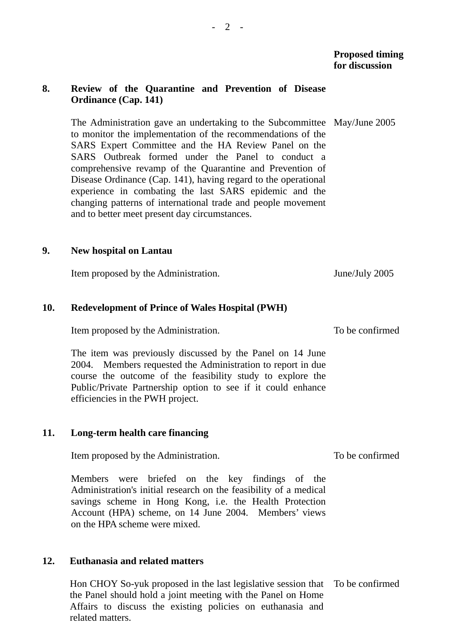#### **8. Review of the Quarantine and Prevention of Disease Ordinance (Cap. 141)**

The Administration gave an undertaking to the Subcommittee May/June 2005 to monitor the implementation of the recommendations of the SARS Expert Committee and the HA Review Panel on the SARS Outbreak formed under the Panel to conduct a comprehensive revamp of the Quarantine and Prevention of Disease Ordinance (Cap. 141), having regard to the operational experience in combating the last SARS epidemic and the changing patterns of international trade and people movement and to better meet present day circumstances.

#### **9. New hospital on Lantau**

Item proposed by the Administration. June/July 2005

#### **10. Redevelopment of Prince of Wales Hospital (PWH)**

Item proposed by the Administration.

The item was previously discussed by the Panel on 14 June 2004. Members requested the Administration to report in due course the outcome of the feasibility study to explore the Public/Private Partnership option to see if it could enhance efficiencies in the PWH project.

#### **11. Long-term health care financing**

Item proposed by the Administration.

Members were briefed on the key findings of the Administration's initial research on the feasibility of a medical savings scheme in Hong Kong, i.e. the Health Protection Account (HPA) scheme, on 14 June 2004. Members' views on the HPA scheme were mixed.

#### **12. Euthanasia and related matters**

Hon CHOY So-yuk proposed in the last legislative session that To be confirmed the Panel should hold a joint meeting with the Panel on Home Affairs to discuss the existing policies on euthanasia and related matters.

To be confirmed

To be confirmed